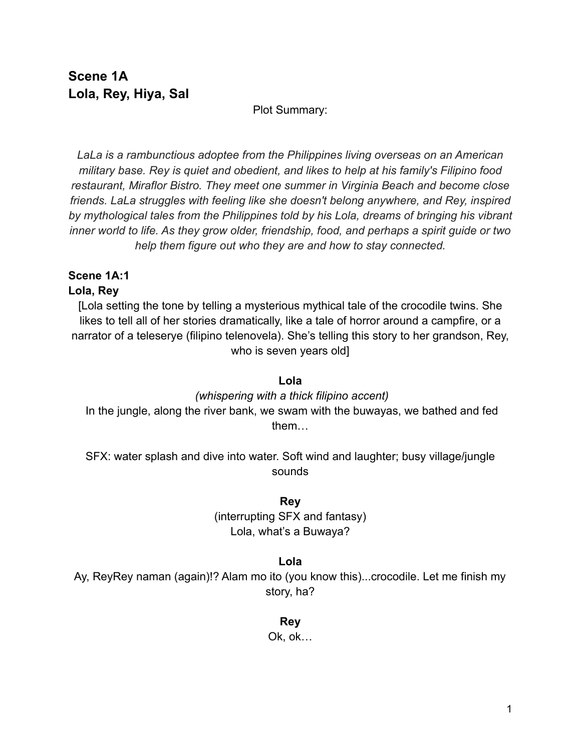# **Scene 1A Lola, Rey, Hiya, Sal**

## Plot Summary:

*LaLa is a rambunctious adoptee from the Philippines living overseas on an American military base. Rey is quiet and obedient, and likes to help at his family's Filipino food restaurant, Miraflor Bistro. They meet one summer in Virginia Beach and become close friends. LaLa struggles with feeling like she doesn't belong anywhere, and Rey, inspired by mythological tales from the Philippines told by his Lola, dreams of bringing his vibrant inner world to life. As they grow older, friendship, food, and perhaps a spirit guide or two help them figure out who they are and how to stay connected.*

# **Scene 1A:1**

## **Lola, Rey**

[Lola setting the tone by telling a mysterious mythical tale of the crocodile twins. She likes to tell all of her stories dramatically, like a tale of horror around a campfire, or a narrator of a teleserye (filipino telenovela). She's telling this story to her grandson, Rey, who is seven years old]

## **Lola**

## *(whispering with a thick filipino accent)*

In the jungle, along the river bank, we swam with the buwayas, we bathed and fed them…

SFX: water splash and dive into water. Soft wind and laughter; busy village/jungle sounds

# **Rey**

(interrupting SFX and fantasy) Lola, what's a Buwaya?

## **Lola**

Ay, ReyRey naman (again)!? Alam mo ito (you know this)...crocodile. Let me finish my story, ha?

## **Rey**

Ok, ok…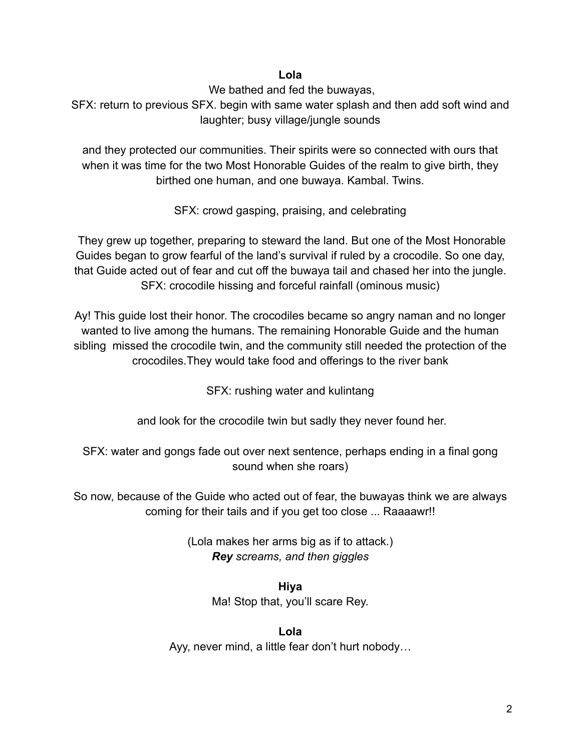## **Lola**

We bathed and fed the buwayas,

SFX: return to previous SFX. begin with same water splash and then add soft wind and laughter; busy village/jungle sounds

and they protected our communities. Their spirits were so connected with ours that when it was time for the two Most Honorable Guides of the realm to give birth, they birthed one human, and one buwaya. Kambal. Twins.

SFX: crowd gasping, praising, and celebrating

They grew up together, preparing to steward the land. But one of the Most Honorable Guides began to grow fearful of the land's survival if ruled by a crocodile. So one day, that Guide acted out of fear and cut off the buwaya tail and chased her into the jungle. SFX: crocodile hissing and forceful rainfall (ominous music)

Ay! This guide lost their honor. The crocodiles became so angry naman and no longer wanted to live among the humans. The remaining Honorable Guide and the human sibling missed the crocodile twin, and the community still needed the protection of the crocodiles.They would take food and offerings to the river bank

SFX: rushing water and kulintang

and look for the crocodile twin but sadly they never found her.

SFX: water and gongs fade out over next sentence, perhaps ending in a final gong sound when she roars)

So now, because of the Guide who acted out of fear, the buwayas think we are always coming for their tails and if you get too close ... Raaaawr!!

> (Lola makes her arms big as if to attack.) *Rey screams, and then giggles*

> > **Hiya** Ma! Stop that, you'll scare Rey.

**Lola** Ayy, never mind, a little fear don't hurt nobody…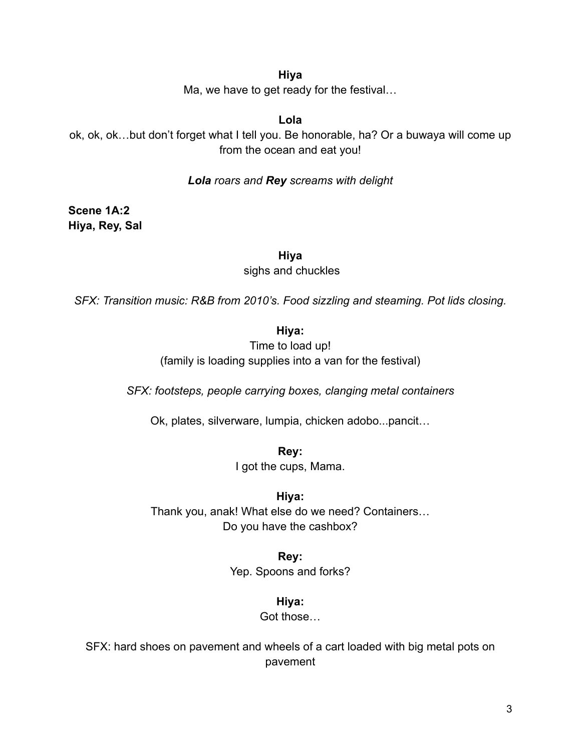#### **Hiya**

Ma, we have to get ready for the festival…

## **Lola**

ok, ok, ok…but don't forget what I tell you. Be honorable, ha? Or a buwaya will come up from the ocean and eat you!

#### *Lola roars and Rey screams with delight*

**Scene 1A:2 Hiya, Rey, Sal**

**Hiya**

sighs and chuckles

*SFX: Transition music: R&B from 2010's. Food sizzling and steaming. Pot lids closing.*

## **Hiya:**

Time to load up! (family is loading supplies into a van for the festival)

*SFX: footsteps, people carrying boxes, clanging metal containers*

Ok, plates, silverware, lumpia, chicken adobo...pancit…

**Rey:**

I got the cups, Mama.

**Hiya:**

Thank you, anak! What else do we need? Containers… Do you have the cashbox?

#### **Rey:**

Yep. Spoons and forks?

#### **Hiya:**

Got those…

SFX: hard shoes on pavement and wheels of a cart loaded with big metal pots on pavement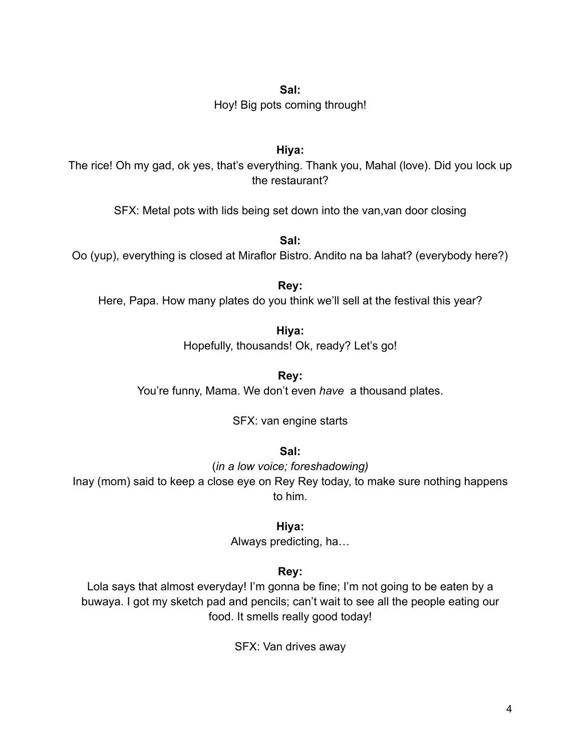Hoy! Big pots coming through!

## **Hiya:**

The rice! Oh my gad, ok yes, that's everything. Thank you, Mahal (love). Did you lock up the restaurant?

SFX: Metal pots with lids being set down into the van,van door closing

**Sal:**

Oo (yup), everything is closed at Miraflor Bistro. Andito na ba lahat? (everybody here?)

**Rey:**

Here, Papa. How many plates do you think we'll sell at the festival this year?

**Hiya:**

Hopefully, thousands! Ok, ready? Let's go!

**Rey:**

You're funny, Mama. We don't even *have* a thousand plates.

SFX: van engine starts

**Sal:**

(*in a low voice; foreshadowing)*

Inay (mom) said to keep a close eye on Rey Rey today, to make sure nothing happens to him.

**Hiya:**

Always predicting, ha…

**Rey:**

Lola says that almost everyday! I'm gonna be fine; I'm not going to be eaten by a buwaya. I got my sketch pad and pencils; can't wait to see all the people eating our food. It smells really good today!

SFX: Van drives away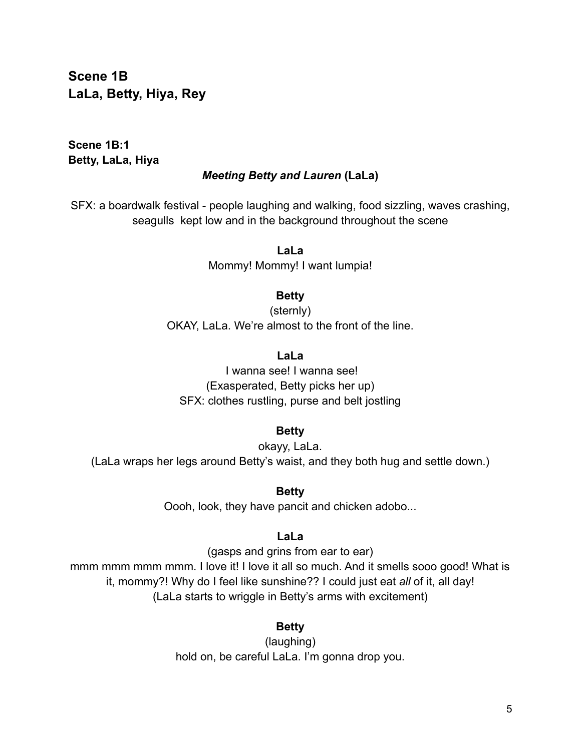**Scene 1B LaLa, Betty, Hiya, Rey**

**Scene 1B:1 Betty, LaLa, Hiya**

#### *Meeting Betty and Lauren* **(LaLa)**

SFX: a boardwalk festival - people laughing and walking, food sizzling, waves crashing, seagulls kept low and in the background throughout the scene

> **LaLa** Mommy! Mommy! I want lumpia!

#### **Betty**

(sternly) OKAY, LaLa. We're almost to the front of the line.

#### **LaLa**

I wanna see! I wanna see! (Exasperated, Betty picks her up) SFX: clothes rustling, purse and belt jostling

#### **Betty**

okayy, LaLa. (LaLa wraps her legs around Betty's waist, and they both hug and settle down.)

**Betty**

Oooh, look, they have pancit and chicken adobo...

#### **LaLa**

(gasps and grins from ear to ear) mmm mmm mmm mmm. I love it! I love it all so much. And it smells sooo good! What is it, mommy?! Why do I feel like sunshine?? I could just eat *all* of it, all day! (LaLa starts to wriggle in Betty's arms with excitement)

## **Betty**

(laughing) hold on, be careful LaLa. I'm gonna drop you.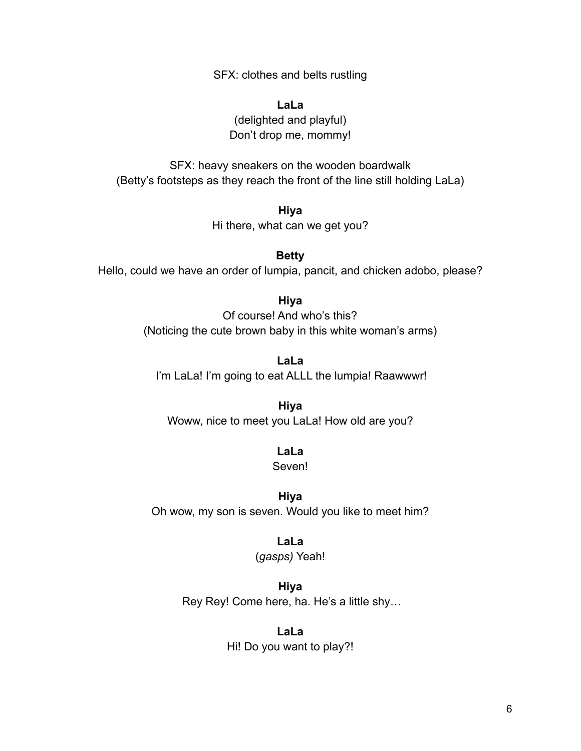SFX: clothes and belts rustling

**LaLa** (delighted and playful) Don't drop me, mommy!

SFX: heavy sneakers on the wooden boardwalk (Betty's footsteps as they reach the front of the line still holding LaLa)

> **Hiya** Hi there, what can we get you?

**Betty** Hello, could we have an order of lumpia, pancit, and chicken adobo, please?

> **Hiya** Of course! And who's this? (Noticing the cute brown baby in this white woman's arms)

**LaLa** I'm LaLa! I'm going to eat ALLL the lumpia! Raawwwr!

**Hiya** Woww, nice to meet you LaLa! How old are you?

> **LaLa** Seven!

**Hiya** Oh wow, my son is seven. Would you like to meet him?

**LaLa**

(*gasps)* Yeah!

**Hiya** Rey Rey! Come here, ha. He's a little shy…

> **LaLa** Hi! Do you want to play?!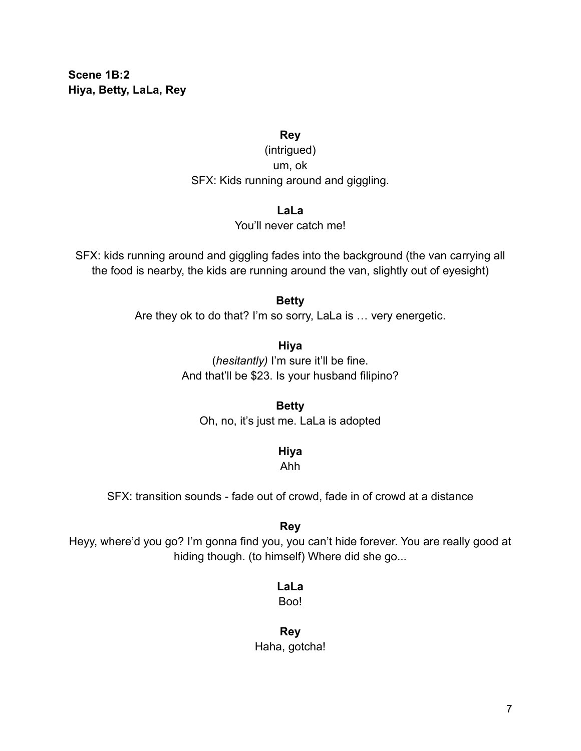**Scene 1B:2 Hiya, Betty, LaLa, Rey**

#### **Rey**

(intrigued) um, ok SFX: Kids running around and giggling.

#### **LaLa**

You'll never catch me!

SFX: kids running around and giggling fades into the background (the van carrying all the food is nearby, the kids are running around the van, slightly out of eyesight)

#### **Betty**

Are they ok to do that? I'm so sorry, LaLa is … very energetic.

**Hiya** (*hesitantly)* I'm sure it'll be fine. And that'll be \$23. Is your husband filipino?

**Betty** Oh, no, it's just me. LaLa is adopted

**Hiya**

Ahh

SFX: transition sounds - fade out of crowd, fade in of crowd at a distance

#### **Rey**

Heyy, where'd you go? I'm gonna find you, you can't hide forever. You are really good at hiding though. (to himself) Where did she go...

#### **LaLa**

Boo!

**Rey** Haha, gotcha!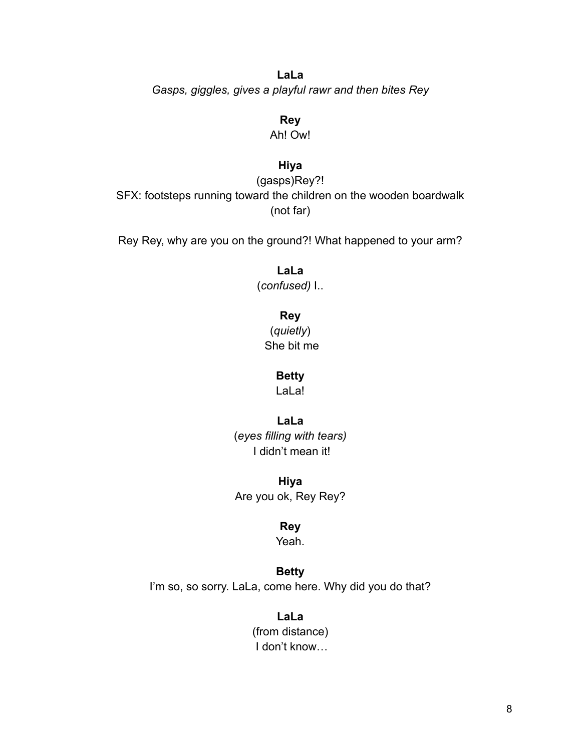**LaLa** *Gasps, giggles, gives a playful rawr and then bites Rey*

> **Rey** Ah! Ow!

## **Hiya**

(gasps)Rey?! SFX: footsteps running toward the children on the wooden boardwalk (not far)

Rey Rey, why are you on the ground?! What happened to your arm?

**LaLa**

(*confused)* I..

**Rey**

(*quietly*) She bit me

**Betty**

LaLa!

**LaLa**

(*eyes filling with tears)* I didn't mean it!

**Hiya** Are you ok, Rey Rey?

**Rey**

Yeah.

**Betty**

I'm so, so sorry. LaLa, come here. Why did you do that?

**LaLa** (from distance) I don't know…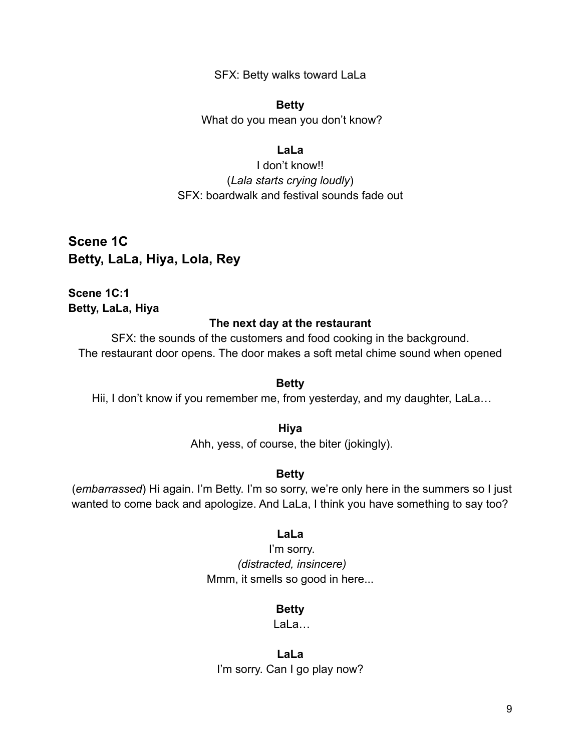SFX: Betty walks toward LaLa

#### **Betty**

What do you mean you don't know?

#### **LaLa**

I don't know!! (*Lala starts crying loudly*) SFX: boardwalk and festival sounds fade out

**Scene 1C Betty, LaLa, Hiya, Lola, Rey**

**Scene 1C:1 Betty, LaLa, Hiya**

#### **The next day at the restaurant**

SFX: the sounds of the customers and food cooking in the background. The restaurant door opens. The door makes a soft metal chime sound when opened

#### **Betty**

Hii, I don't know if you remember me, from yesterday, and my daughter, LaLa...

#### **Hiya**

Ahh, yess, of course, the biter (jokingly).

#### **Betty**

(*embarrassed*) Hi again. I'm Betty. I'm so sorry, we're only here in the summers so I just wanted to come back and apologize. And LaLa, I think you have something to say too?

#### **LaLa**

I'm sorry. *(distracted, insincere)* Mmm, it smells so good in here...

#### **Betty**

LaLa…

**LaLa** I'm sorry. Can I go play now?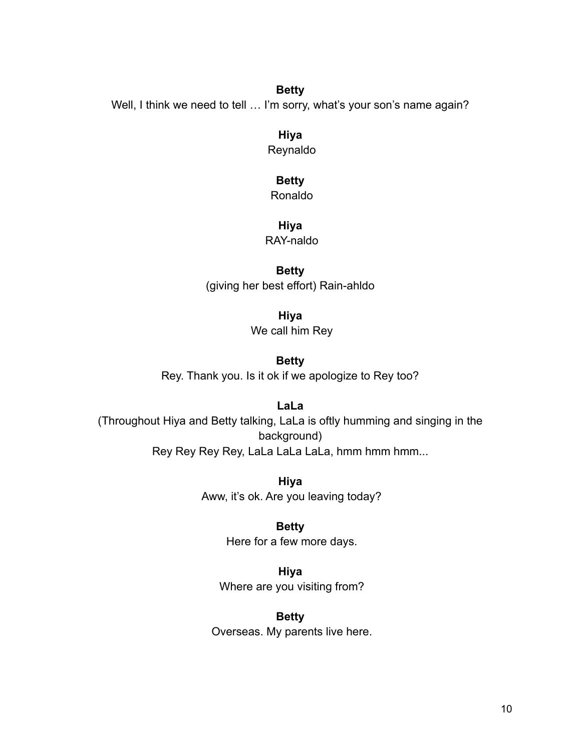#### **Betty**

Well, I think we need to tell ... I'm sorry, what's your son's name again?

**Hiya**

Reynaldo

#### **Betty**

Ronaldo

#### **Hiya**

RAY-naldo

## **Betty**

(giving her best effort) Rain-ahldo

**Hiya**

We call him Rey

#### **Betty**

Rey. Thank you. Is it ok if we apologize to Rey too?

## **LaLa**

(Throughout Hiya and Betty talking, LaLa is oftly humming and singing in the background) Rey Rey Rey Rey, LaLa LaLa LaLa, hmm hmm hmm...

> **Hiya** Aww, it's ok. Are you leaving today?

> > **Betty** Here for a few more days.

**Hiya** Where are you visiting from?

**Betty** Overseas. My parents live here.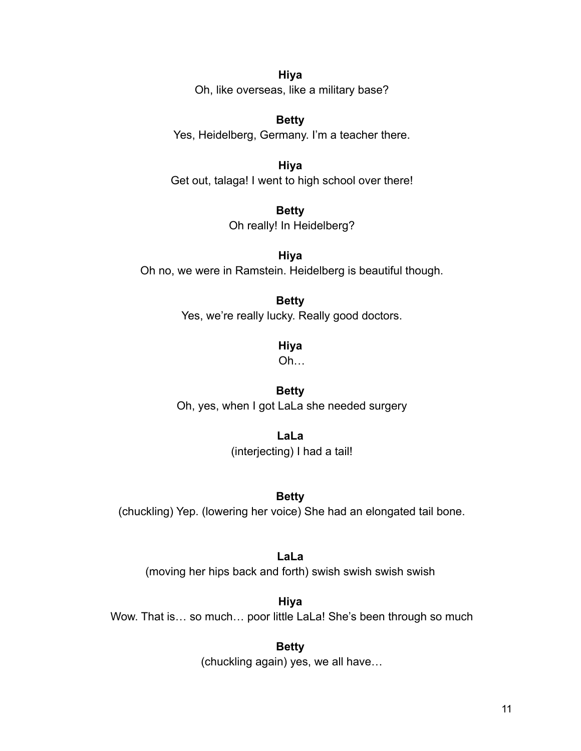**Hiya** Oh, like overseas, like a military base?

**Betty** Yes, Heidelberg, Germany. I'm a teacher there.

**Hiya** Get out, talaga! I went to high school over there!

> **Betty** Oh really! In Heidelberg?

**Hiya** Oh no, we were in Ramstein. Heidelberg is beautiful though.

# **Betty**

Yes, we're really lucky. Really good doctors.

**Hiya**

Oh…

## **Betty**

Oh, yes, when I got LaLa she needed surgery

**LaLa** (interjecting) I had a tail!

## **Betty**

(chuckling) Yep. (lowering her voice) She had an elongated tail bone.

## **LaLa**

(moving her hips back and forth) swish swish swish swish

**Hiya** Wow. That is... so much... poor little LaLa! She's been through so much

**Betty**

(chuckling again) yes, we all have…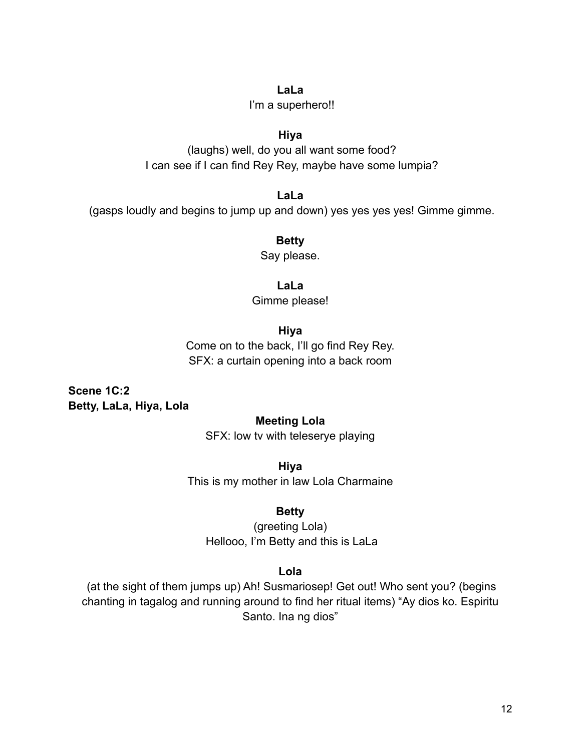#### **LaLa**

I'm a superhero!!

#### **Hiya**

(laughs) well, do you all want some food? I can see if I can find Rey Rey, maybe have some lumpia?

**LaLa** (gasps loudly and begins to jump up and down) yes yes yes yes! Gimme gimme.

> **Betty** Say please.

> > **LaLa**

Gimme please!

## **Hiya**

Come on to the back, I'll go find Rey Rey. SFX: a curtain opening into a back room

**Scene 1C:2 Betty, LaLa, Hiya, Lola**

## **Meeting Lola**

SFX: low tv with teleserye playing

**Hiya** This is my mother in law Lola Charmaine

## **Betty**

(greeting Lola) Hellooo, I'm Betty and this is LaLa

## **Lola**

(at the sight of them jumps up) Ah! Susmariosep! Get out! Who sent you? (begins chanting in tagalog and running around to find her ritual items) "Ay dios ko. Espiritu Santo. Ina ng dios"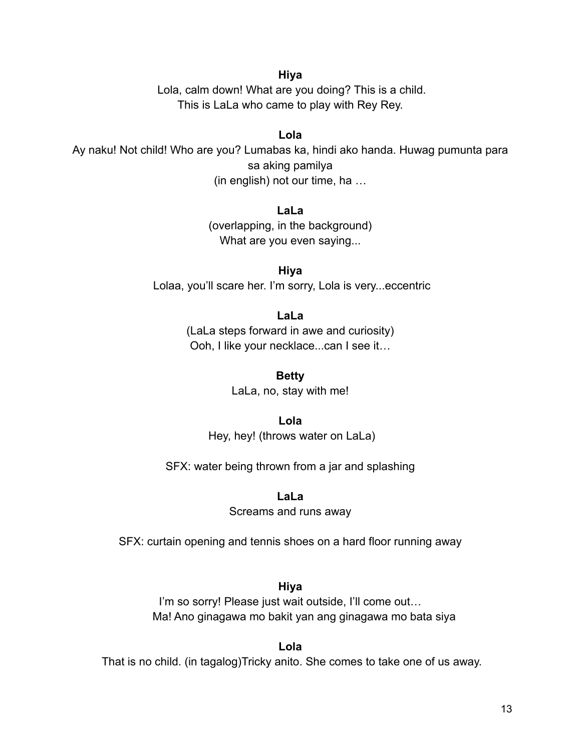#### **Hiya**

Lola, calm down! What are you doing? This is a child. This is LaLa who came to play with Rey Rey.

#### **Lola**

Ay naku! Not child! Who are you? Lumabas ka, hindi ako handa. Huwag pumunta para sa aking pamilya (in english) not our time, ha …

#### **LaLa**

(overlapping, in the background) What are you even saying...

**Hiya** Lolaa, you'll scare her. I'm sorry, Lola is very...eccentric

#### **LaLa**

(LaLa steps forward in awe and curiosity) Ooh, I like your necklace...can I see it…

> **Betty** LaLa, no, stay with me!

> > **Lola**

Hey, hey! (throws water on LaLa)

SFX: water being thrown from a jar and splashing

**LaLa**

Screams and runs away

SFX: curtain opening and tennis shoes on a hard floor running away

#### **Hiya**

I'm so sorry! Please just wait outside, I'll come out... Ma! Ano ginagawa mo bakit yan ang ginagawa mo bata siya

**Lola** That is no child. (in tagalog)Tricky anito. She comes to take one of us away.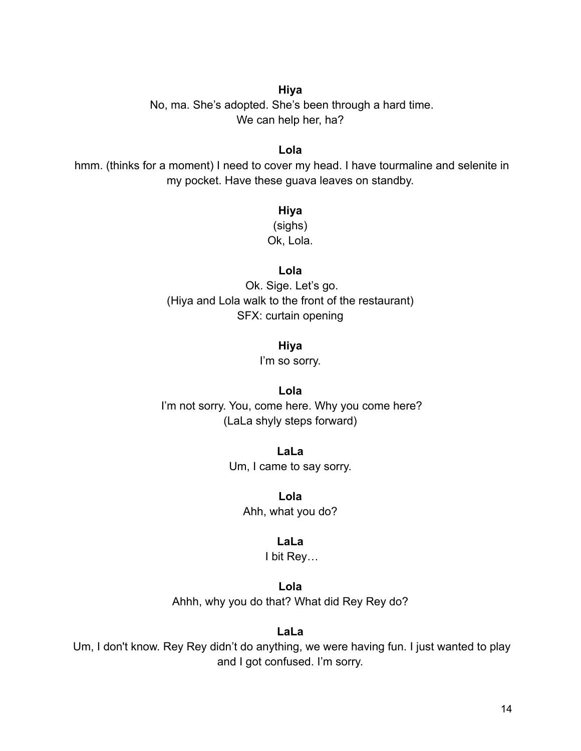#### **Hiya**

No, ma. She's adopted. She's been through a hard time. We can help her, ha?

#### **Lola**

hmm. (thinks for a moment) I need to cover my head. I have tourmaline and selenite in my pocket. Have these guava leaves on standby.

## **Hiya**

(sighs) Ok, Lola.

#### **Lola**

Ok. Sige. Let's go. (Hiya and Lola walk to the front of the restaurant) SFX: curtain opening

#### **Hiya**

I'm so sorry.

#### **Lola**

I'm not sorry. You, come here. Why you come here? (LaLa shyly steps forward)

> **LaLa** Um, I came to say sorry.

> > **Lola** Ahh, what you do?

#### **LaLa**

I bit Rey…

**Lola**

Ahhh, why you do that? What did Rey Rey do?

#### **LaLa**

Um, I don't know. Rey Rey didn't do anything, we were having fun. I just wanted to play and I got confused. I'm sorry.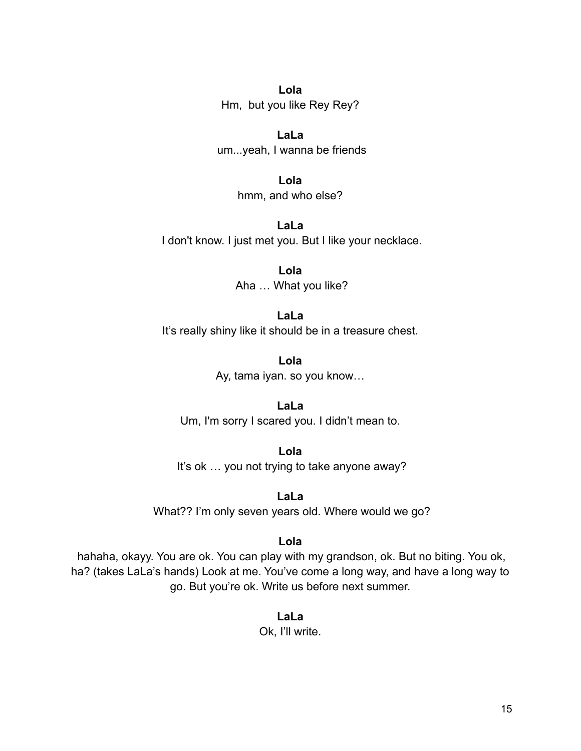**Lola** Hm, but you like Rey Rey?

**LaLa** um...yeah, I wanna be friends

> **Lola** hmm, and who else?

**LaLa** I don't know. I just met you. But I like your necklace.

> **Lola** Aha … What you like?

**LaLa** It's really shiny like it should be in a treasure chest.

> **Lola** Ay, tama iyan. so you know…

**LaLa** Um, I'm sorry I scared you. I didn't mean to.

**Lola** It's ok … you not trying to take anyone away?

**LaLa** What?? I'm only seven years old. Where would we go?

**Lola**

hahaha, okayy. You are ok. You can play with my grandson, ok. But no biting. You ok, ha? (takes LaLa's hands) Look at me. You've come a long way, and have a long way to go. But you're ok. Write us before next summer.

> **LaLa** Ok, I'll write.